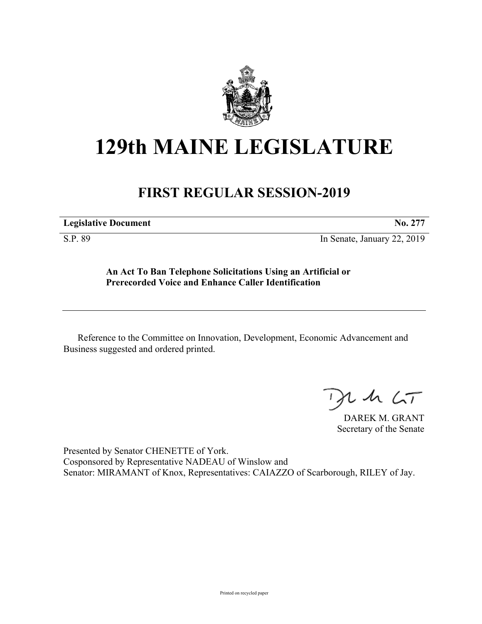

## **129th MAINE LEGISLATURE**

## **FIRST REGULAR SESSION-2019**

| <b>Legislative Document</b> | No. |
|-----------------------------|-----|
|                             |     |

S.P. 89 In Senate, January 22, 2019

**An Act To Ban Telephone Solicitations Using an Artificial or Prerecorded Voice and Enhance Caller Identification**

Reference to the Committee on Innovation, Development, Economic Advancement and Business suggested and ordered printed.

 $125$ 

DAREK M. GRANT Secretary of the Senate

Presented by Senator CHENETTE of York. Cosponsored by Representative NADEAU of Winslow and Senator: MIRAMANT of Knox, Representatives: CAIAZZO of Scarborough, RILEY of Jay.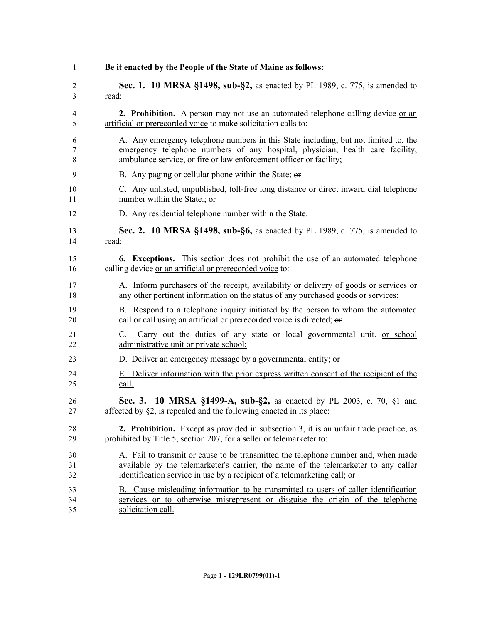| 1        | Be it enacted by the People of the State of Maine as follows:                                                           |
|----------|-------------------------------------------------------------------------------------------------------------------------|
| 2        | Sec. 1. 10 MRSA §1498, sub-§2, as enacted by PL 1989, c. 775, is amended to                                             |
| 3        | read:                                                                                                                   |
| 4        | <b>2. Prohibition.</b> A person may not use an automated telephone calling device or an                                 |
| 5        | artificial or prerecorded voice to make solicitation calls to:                                                          |
| 6        | A. Any emergency telephone numbers in this State including, but not limited to, the                                     |
| 7        | emergency telephone numbers of any hospital, physician, health care facility,                                           |
| 8        | ambulance service, or fire or law enforcement officer or facility;                                                      |
| 9        | B. Any paging or cellular phone within the State; or                                                                    |
| 10       | C. Any unlisted, unpublished, toll-free long distance or direct inward dial telephone                                   |
| 11       | number within the State-; or                                                                                            |
| 12       | D. Any residential telephone number within the State.                                                                   |
| 13       | Sec. 2. 10 MRSA §1498, sub-§6, as enacted by PL 1989, c. 775, is amended to                                             |
| 14       | read:                                                                                                                   |
| 15       | 6. Exceptions. This section does not prohibit the use of an automated telephone                                         |
| 16       | calling device or an artificial or prerecorded voice to:                                                                |
| 17       | A. Inform purchasers of the receipt, availability or delivery of goods or services or                                   |
| 18       | any other pertinent information on the status of any purchased goods or services;                                       |
| 19       | B. Respond to a telephone inquiry initiated by the person to whom the automated                                         |
| 20       | call or call using an artificial or prerecorded voice is directed; or                                                   |
| 21<br>22 | Carry out the duties of any state or local governmental unit- or school<br>C.<br>administrative unit or private school; |
| 23       | D. Deliver an emergency message by a governmental entity; or                                                            |
| 24       | E. Deliver information with the prior express written consent of the recipient of the                                   |
| 25       | call.                                                                                                                   |
| 26       | Sec. 3. 10 MRSA §1499-A, sub-§2, as enacted by PL 2003, c. 70, §1 and                                                   |
| 27       | affected by §2, is repealed and the following enacted in its place:                                                     |
| 28       | <b>2. Prohibition.</b> Except as provided in subsection 3, it is an unfair trade practice, as                           |
| 29       | prohibited by Title 5, section 207, for a seller or telemarketer to:                                                    |
| 30       | A. Fail to transmit or cause to be transmitted the telephone number and, when made                                      |
| 31       | available by the telemarketer's carrier, the name of the telemarketer to any caller                                     |
| 32       | identification service in use by a recipient of a telemarketing call; or                                                |
| 33       | B. Cause misleading information to be transmitted to users of caller identification                                     |
| 34       | services or to otherwise misrepresent or disguise the origin of the telephone                                           |
| 35       | solicitation call.                                                                                                      |